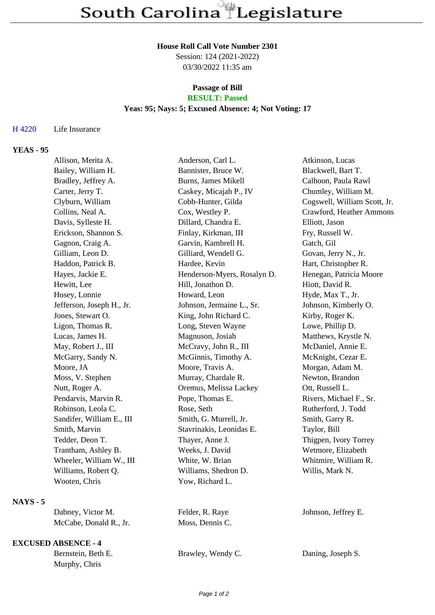## **House Roll Call Vote Number 2301**

Session: 124 (2021-2022) 03/30/2022 11:35 am

# **Passage of Bill**

## **RESULT: Passed**

## **Yeas: 95; Nays: 5; Excused Absence: 4; Not Voting: 17**

#### H 4220 Life Insurance

## **YEAS - 95**

| Allison, Merita A.        | Anderson, Carl L.           | Atkinson, Lucas              |
|---------------------------|-----------------------------|------------------------------|
| Bailey, William H.        | Bannister, Bruce W.         | Blackwell, Bart T.           |
| Bradley, Jeffrey A.       | Burns, James Mikell         | Calhoon, Paula Rawl          |
| Carter, Jerry T.          | Caskey, Micajah P., IV      | Chumley, William M.          |
| Clyburn, William          | Cobb-Hunter, Gilda          | Cogswell, William Scott, Jr. |
| Collins, Neal A.          | Cox, Westley P.             | Crawford, Heather Ammons     |
| Davis, Sylleste H.        | Dillard, Chandra E.         | Elliott, Jason               |
| Erickson, Shannon S.      | Finlay, Kirkman, III        | Fry, Russell W.              |
| Gagnon, Craig A.          | Garvin, Kambrell H.         | Gatch, Gil                   |
| Gilliam, Leon D.          | Gilliard, Wendell G.        | Govan, Jerry N., Jr.         |
| Haddon, Patrick B.        | Hardee, Kevin               | Hart, Christopher R.         |
| Hayes, Jackie E.          | Henderson-Myers, Rosalyn D. | Henegan, Patricia Moore      |
| Hewitt, Lee               | Hill, Jonathon D.           | Hiott, David R.              |
| Hosey, Lonnie             | Howard, Leon                | Hyde, Max T., Jr.            |
| Jefferson, Joseph H., Jr. | Johnson, Jermaine L., Sr.   | Johnson, Kimberly O.         |
| Jones, Stewart O.         | King, John Richard C.       | Kirby, Roger K.              |
| Ligon, Thomas R.          | Long, Steven Wayne          | Lowe, Phillip D.             |
| Lucas, James H.           | Magnuson, Josiah            | Matthews, Krystle N.         |
| May, Robert J., III       | McCravy, John R., III       | McDaniel, Annie E.           |
| McGarry, Sandy N.         | McGinnis, Timothy A.        | McKnight, Cezar E.           |
| Moore, JA                 | Moore, Travis A.            | Morgan, Adam M.              |
| Moss, V. Stephen          | Murray, Chardale R.         | Newton, Brandon              |
| Nutt, Roger A.            | Oremus, Melissa Lackey      | Ott, Russell L.              |
| Pendarvis, Marvin R.      | Pope, Thomas E.             | Rivers, Michael F., Sr.      |
| Robinson, Leola C.        | Rose, Seth                  | Rutherford, J. Todd          |
| Sandifer, William E., III | Smith, G. Murrell, Jr.      | Smith, Garry R.              |
| Smith, Marvin             | Stavrinakis, Leonidas E.    | Taylor, Bill                 |
| Tedder, Deon T.           | Thayer, Anne J.             | Thigpen, Ivory Torrey        |
| Trantham, Ashley B.       | Weeks, J. David             | Wetmore, Elizabeth           |
| Wheeler, William W., III  | White, W. Brian             | Whitmire, William R.         |
| Williams, Robert Q.       | Williams, Shedron D.        | Willis, Mark N.              |
| Wooten, Chris             | Yow, Richard L.             |                              |
|                           |                             |                              |

## **NAYS - 5**

Dabney, Victor M. Felder, R. Raye Johnson, Jeffrey E.<br>McCabe, Donald R., Jr. Moss, Dennis C. McCabe, Donald R., Jr.

## **EXCUSED ABSENCE - 4**

Murphy, Chris

Bernstein, Beth E. Brawley, Wendy C. Daning, Joseph S.